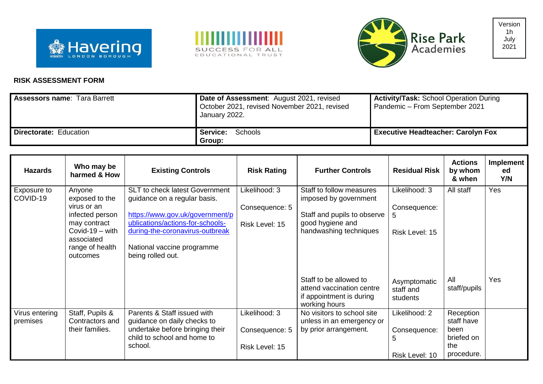





## **RISK ASSESSMENT FORM**

| <b>Assessors name: Tara Barrett</b> | Date of Assessment: August 2021, revised<br>October 2021, revised November 2021, revised<br>January 2022. | <b>Activity/Task: School Operation During</b><br>Pandemic - From September 2021 |
|-------------------------------------|-----------------------------------------------------------------------------------------------------------|---------------------------------------------------------------------------------|
| <b>Directorate: Education</b>       | Schools<br><b>Service:</b><br>Group:                                                                      | <b>Executive Headteacher: Carolyn Fox</b>                                       |

| <b>Hazards</b>             | Who may be<br>harmed & How                                                                                                                   | <b>Existing Controls</b>                                                                                                                                                                                                    | <b>Risk Rating</b>                                | <b>Further Controls</b>                                                                                                        | <b>Residual Risk</b>                                 | <b>Actions</b><br>by whom<br>& when                                | <b>Implement</b><br>ed<br>Y/N |
|----------------------------|----------------------------------------------------------------------------------------------------------------------------------------------|-----------------------------------------------------------------------------------------------------------------------------------------------------------------------------------------------------------------------------|---------------------------------------------------|--------------------------------------------------------------------------------------------------------------------------------|------------------------------------------------------|--------------------------------------------------------------------|-------------------------------|
| Exposure to<br>COVID-19    | Anyone<br>exposed to the<br>virus or an<br>infected person<br>may contract<br>Covid-19 $-$ with<br>associated<br>range of health<br>outcomes | SLT to check latest Government<br>guidance on a regular basis.<br>https://www.gov.uk/government/p<br>ublications/actions-for-schools-<br>during-the-coronavirus-outbreak<br>National vaccine programme<br>being rolled out. | Likelihood: 3<br>Consequence: 5<br>Risk Level: 15 | Staff to follow measures<br>imposed by government<br>Staff and pupils to observe<br>good hygiene and<br>handwashing techniques | Likelihood: 3<br>Consequence:<br>5<br>Risk Level: 15 | All staff                                                          | Yes                           |
|                            |                                                                                                                                              |                                                                                                                                                                                                                             |                                                   | Staff to be allowed to<br>attend vaccination centre<br>if appointment is during<br>working hours                               | Asymptomatic<br>staff and<br>students                | All<br>staff/pupils                                                | Yes                           |
| Virus entering<br>premises | Staff, Pupils &<br>Contractors and<br>their families.                                                                                        | Parents & Staff issued with<br>guidance on daily checks to<br>undertake before bringing their<br>child to school and home to<br>school.                                                                                     | Likelihood: 3<br>Consequence: 5<br>Risk Level: 15 | No visitors to school site<br>unless in an emergency or<br>by prior arrangement.                                               | Likelihood: 2<br>Consequence:<br>5<br>Risk Level: 10 | Reception<br>staff have<br>been<br>briefed on<br>the<br>procedure. |                               |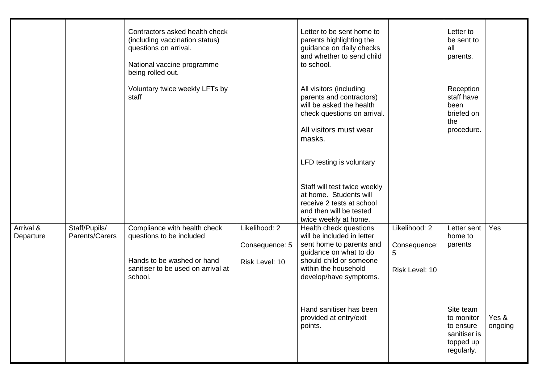|                        |                                 | Contractors asked health check<br>(including vaccination status)<br>questions on arrival.<br>National vaccine programme<br>being rolled out. |                                                   | Letter to be sent home to<br>parents highlighting the<br>guidance on daily checks<br>and whether to send child<br>to school.                                                            |                                                      | Letter to<br>be sent to<br>all<br>parents.                                      |                  |
|------------------------|---------------------------------|----------------------------------------------------------------------------------------------------------------------------------------------|---------------------------------------------------|-----------------------------------------------------------------------------------------------------------------------------------------------------------------------------------------|------------------------------------------------------|---------------------------------------------------------------------------------|------------------|
|                        |                                 | Voluntary twice weekly LFTs by<br>staff                                                                                                      |                                                   | All visitors (including<br>parents and contractors)<br>will be asked the health<br>check questions on arrival.<br>All visitors must wear                                                |                                                      | Reception<br>staff have<br>been<br>briefed on<br>the<br>procedure.              |                  |
|                        |                                 |                                                                                                                                              |                                                   | masks.<br>LFD testing is voluntary                                                                                                                                                      |                                                      |                                                                                 |                  |
|                        |                                 |                                                                                                                                              |                                                   | Staff will test twice weekly<br>at home. Students will<br>receive 2 tests at school<br>and then will be tested<br>twice weekly at home.                                                 |                                                      |                                                                                 |                  |
| Arrival &<br>Departure | Staff/Pupils/<br>Parents/Carers | Compliance with health check<br>questions to be included<br>Hands to be washed or hand<br>sanitiser to be used on arrival at<br>school.      | Likelihood: 2<br>Consequence: 5<br>Risk Level: 10 | Health check questions<br>will be included in letter<br>sent home to parents and<br>guidance on what to do<br>should child or someone<br>within the household<br>develop/have symptoms. | Likelihood: 2<br>Consequence:<br>5<br>Risk Level: 10 | Letter sent<br>home to<br>parents                                               | Yes              |
|                        |                                 |                                                                                                                                              |                                                   | Hand sanitiser has been<br>provided at entry/exit<br>points.                                                                                                                            |                                                      | Site team<br>to monitor<br>to ensure<br>sanitiser is<br>topped up<br>regularly. | Yes &<br>ongoing |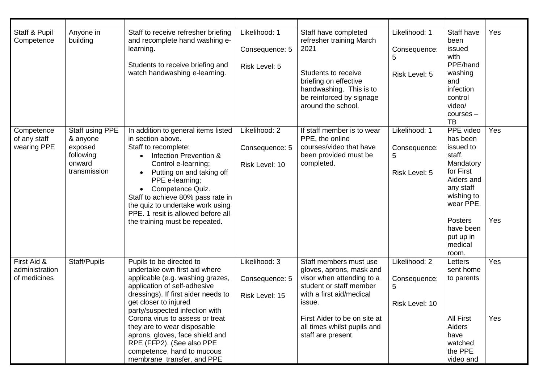| Staff & Pupil<br>Competence                   | Anyone in<br>building                                                         | Staff to receive refresher briefing<br>and recomplete hand washing e-<br>learning.<br>Students to receive briefing and<br>watch handwashing e-learning.                                                                                                                                                                                                                                                                       | Likelihood: 1<br>Consequence: 5<br>Risk Level: 5  | Staff have completed<br>refresher training March<br>2021<br>Students to receive<br>briefing on effective<br>handwashing. This is to<br>be reinforced by signage<br>around the school.                                                 | Likelihood: 1<br>Consequence:<br>5<br>Risk Level: 5  | Staff have<br>been<br>issued<br>with<br>PPE/hand<br>washing<br>and<br>infection<br>control<br>video/<br>$course -$<br><b>TB</b>                                                       | Yes        |
|-----------------------------------------------|-------------------------------------------------------------------------------|-------------------------------------------------------------------------------------------------------------------------------------------------------------------------------------------------------------------------------------------------------------------------------------------------------------------------------------------------------------------------------------------------------------------------------|---------------------------------------------------|---------------------------------------------------------------------------------------------------------------------------------------------------------------------------------------------------------------------------------------|------------------------------------------------------|---------------------------------------------------------------------------------------------------------------------------------------------------------------------------------------|------------|
| Competence<br>of any staff<br>wearing PPE     | Staff using PPE<br>& anyone<br>exposed<br>following<br>onward<br>transmission | In addition to general items listed<br>in section above.<br>Staff to recomplete:<br>Infection Prevention &<br>Control e-learning;<br>Putting on and taking off<br>PPE e-learning;<br>Competence Quiz.<br>Staff to achieve 80% pass rate in<br>the quiz to undertake work using<br>PPE. 1 resit is allowed before all<br>the training must be repeated.                                                                        | Likelihood: 2<br>Consequence: 5<br>Risk Level: 10 | If staff member is to wear<br>PPE, the online<br>courses/video that have<br>been provided must be<br>completed.                                                                                                                       | Likelihood: 1<br>Consequence:<br>5<br>Risk Level: 5  | PPE video<br>has been<br>issued to<br>staff.<br>Mandatory<br>for First<br>Aiders and<br>any staff<br>wishing to<br>wear PPE.<br>Posters<br>have been<br>put up in<br>medical<br>room. | Yes<br>Yes |
| First Aid &<br>administration<br>of medicines | Staff/Pupils                                                                  | Pupils to be directed to<br>undertake own first aid where<br>applicable (e.g. washing grazes,<br>application of self-adhesive<br>dressings). If first aider needs to<br>get closer to injured<br>party/suspected infection with<br>Corona virus to assess or treat<br>they are to wear disposable<br>aprons, gloves, face shield and<br>RPE (FFP2). (See also PPE<br>competence, hand to mucous<br>membrane transfer, and PPE | Likelihood: 3<br>Consequence: 5<br>Risk Level: 15 | Staff members must use<br>gloves, aprons, mask and<br>visor when attending to a<br>student or staff member<br>with a first aid/medical<br>issue.<br>First Aider to be on site at<br>all times whilst pupils and<br>staff are present. | Likelihood: 2<br>Consequence:<br>5<br>Risk Level: 10 | Letters<br>sent home<br>to parents<br>All First<br>Aiders<br>have<br>watched<br>the PPE<br>video and                                                                                  | Yes<br>Yes |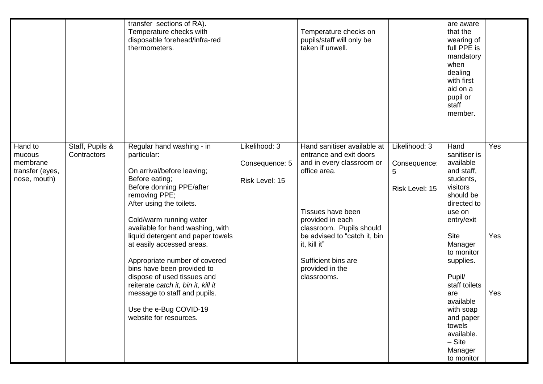|                                                                  |                                | transfer sections of RA).<br>Temperature checks with<br>disposable forehead/infra-red<br>thermometers.                                                                                                                                                                                                                                                                                                                                                                                                                      |                                                   | Temperature checks on<br>pupils/staff will only be<br>taken if unwell.                                                                                                                                                                                                            |                                                      | are aware<br>that the<br>wearing of<br>full PPE is<br>mandatory<br>when<br>dealing<br>with first<br>aid on a<br>pupil or<br>staff<br>member.                                                                                                                                                                            |                   |
|------------------------------------------------------------------|--------------------------------|-----------------------------------------------------------------------------------------------------------------------------------------------------------------------------------------------------------------------------------------------------------------------------------------------------------------------------------------------------------------------------------------------------------------------------------------------------------------------------------------------------------------------------|---------------------------------------------------|-----------------------------------------------------------------------------------------------------------------------------------------------------------------------------------------------------------------------------------------------------------------------------------|------------------------------------------------------|-------------------------------------------------------------------------------------------------------------------------------------------------------------------------------------------------------------------------------------------------------------------------------------------------------------------------|-------------------|
| Hand to<br>mucous<br>membrane<br>transfer (eyes,<br>nose, mouth) | Staff, Pupils &<br>Contractors | Regular hand washing - in<br>particular:<br>On arrival/before leaving;<br>Before eating;<br>Before donning PPE/after<br>removing PPE;<br>After using the toilets.<br>Cold/warm running water<br>available for hand washing, with<br>liquid detergent and paper towels<br>at easily accessed areas.<br>Appropriate number of covered<br>bins have been provided to<br>dispose of used tissues and<br>reiterate catch it, bin it, kill it<br>message to staff and pupils.<br>Use the e-Bug COVID-19<br>website for resources. | Likelihood: 3<br>Consequence: 5<br>Risk Level: 15 | Hand sanitiser available at<br>entrance and exit doors<br>and in every classroom or<br>office area.<br>Tissues have been<br>provided in each<br>classroom. Pupils should<br>be advised to "catch it, bin<br>it, kill it"<br>Sufficient bins are<br>provided in the<br>classrooms. | Likelihood: 3<br>Consequence:<br>5<br>Risk Level: 15 | Hand<br>sanitiser is<br>available<br>and staff,<br>students,<br>visitors<br>should be<br>directed to<br>use on<br>entry/exit<br><b>Site</b><br>Manager<br>to monitor<br>supplies.<br>Pupil/<br>staff toilets<br>are<br>available<br>with soap<br>and paper<br>towels<br>available.<br>$-$ Site<br>Manager<br>to monitor | Yes<br>Yes<br>Yes |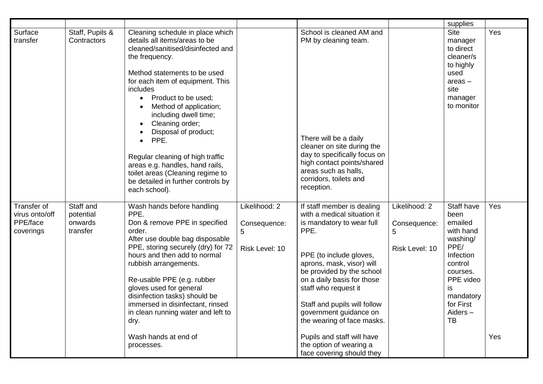|                                                        |                                               |                                                                                                                                                                                                                                                                                                                                                                                                                                                                                                                                   |                                                      |                                                                                                                                                                                                                                                                                                                                                                                                                         |                                                      | supplies                                                                                                                                                                |            |
|--------------------------------------------------------|-----------------------------------------------|-----------------------------------------------------------------------------------------------------------------------------------------------------------------------------------------------------------------------------------------------------------------------------------------------------------------------------------------------------------------------------------------------------------------------------------------------------------------------------------------------------------------------------------|------------------------------------------------------|-------------------------------------------------------------------------------------------------------------------------------------------------------------------------------------------------------------------------------------------------------------------------------------------------------------------------------------------------------------------------------------------------------------------------|------------------------------------------------------|-------------------------------------------------------------------------------------------------------------------------------------------------------------------------|------------|
| Surface<br>transfer                                    | Staff, Pupils &<br>Contractors                | Cleaning schedule in place which<br>details all items/areas to be<br>cleaned/sanitised/disinfected and<br>the frequency.<br>Method statements to be used<br>for each item of equipment. This<br>includes<br>Product to be used;<br>$\bullet$<br>Method of application;<br>including dwell time;<br>Cleaning order;<br>Disposal of product;<br>PPE.<br>$\bullet$<br>Regular cleaning of high traffic<br>areas e.g. handles, hand rails,<br>toilet areas (Cleaning regime to<br>be detailed in further controls by<br>each school). |                                                      | School is cleaned AM and<br>PM by cleaning team.<br>There will be a daily<br>cleaner on site during the<br>day to specifically focus on<br>high contact points/shared<br>areas such as halls,<br>corridors, toilets and<br>reception.                                                                                                                                                                                   |                                                      | <b>Site</b><br>manager<br>to direct<br>cleaner/s<br>to highly<br>used<br>$area -$<br>site<br>manager<br>to monitor                                                      | Yes        |
| Transfer of<br>virus onto/off<br>PPE/face<br>coverings | Staff and<br>potential<br>onwards<br>transfer | Wash hands before handling<br>PPE.<br>Don & remove PPE in specified<br>order.<br>After use double bag disposable<br>PPE, storing securely (dry) for 72<br>hours and then add to normal<br>rubbish arrangements.<br>Re-usable PPE (e.g. rubber<br>gloves used for general<br>disinfection tasks) should be<br>immersed in disinfectant, rinsed<br>in clean running water and left to<br>dry.<br>Wash hands at end of<br>processes.                                                                                                 | Likelihood: 2<br>Consequence:<br>5<br>Risk Level: 10 | If staff member is dealing<br>with a medical situation it<br>is mandatory to wear full<br>PPE.<br>PPE (to include gloves,<br>aprons, mask, visor) will<br>be provided by the school<br>on a daily basis for those<br>staff who request it<br>Staff and pupils will follow<br>government guidance on<br>the wearing of face masks.<br>Pupils and staff will have<br>the option of wearing a<br>face covering should they | Likelihood: 2<br>Consequence:<br>5<br>Risk Level: 10 | Staff have<br>been<br>emailed<br>with hand<br>washing/<br>PPE/<br>Infection<br>control<br>courses.<br>PPE video<br>is<br>mandatory<br>for First<br>Aiders-<br><b>TB</b> | Yes<br>Yes |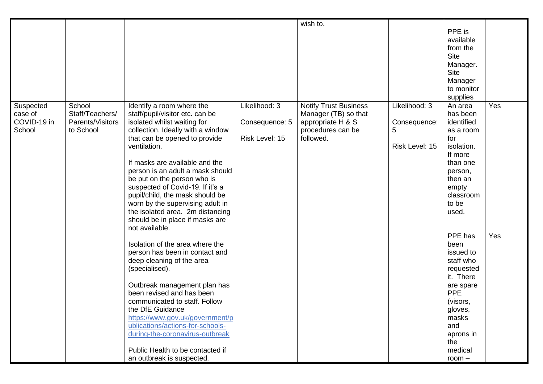|                                               |                                                            |                                                                                                                                                                                                                                                                                                                                                                                                                                                                                            |                                                   | wish to.                                                                                                    |                                                      |                                                                                                                                                                                  |     |
|-----------------------------------------------|------------------------------------------------------------|--------------------------------------------------------------------------------------------------------------------------------------------------------------------------------------------------------------------------------------------------------------------------------------------------------------------------------------------------------------------------------------------------------------------------------------------------------------------------------------------|---------------------------------------------------|-------------------------------------------------------------------------------------------------------------|------------------------------------------------------|----------------------------------------------------------------------------------------------------------------------------------------------------------------------------------|-----|
|                                               |                                                            |                                                                                                                                                                                                                                                                                                                                                                                                                                                                                            |                                                   |                                                                                                             |                                                      | PPE is<br>available<br>from the<br><b>Site</b><br>Manager.<br><b>Site</b><br>Manager<br>to monitor<br>supplies                                                                   |     |
| Suspected<br>case of<br>COVID-19 in<br>School | School<br>Staff/Teachers/<br>Parents/Visitors<br>to School | Identify a room where the<br>staff/pupil/visitor etc. can be<br>isolated whilst waiting for<br>collection. Ideally with a window<br>that can be opened to provide<br>ventilation.<br>If masks are available and the<br>person is an adult a mask should<br>be put on the person who is<br>suspected of Covid-19. If it's a<br>pupil/child, the mask should be<br>worn by the supervising adult in<br>the isolated area. 2m distancing<br>should be in place if masks are<br>not available. | Likelihood: 3<br>Consequence: 5<br>Risk Level: 15 | <b>Notify Trust Business</b><br>Manager (TB) so that<br>appropriate H & S<br>procedures can be<br>followed. | Likelihood: 3<br>Consequence:<br>5<br>Risk Level: 15 | An area<br>has been<br>identified<br>as a room<br>for<br>isolation.<br>If more<br>than one<br>person,<br>then an<br>empty<br>classroom<br>to be<br>used.                         | Yes |
|                                               |                                                            | Isolation of the area where the<br>person has been in contact and<br>deep cleaning of the area<br>(specialised).<br>Outbreak management plan has<br>been revised and has been<br>communicated to staff. Follow<br>the DfE Guidance<br>https://www.gov.uk/government/p<br>ublications/actions-for-schools-<br>during-the-coronavirus-outbreak<br>Public Health to be contacted if<br>an outbreak is suspected.                                                                              |                                                   |                                                                                                             |                                                      | PPE has<br>been<br>issued to<br>staff who<br>requested<br>it. There<br>are spare<br><b>PPE</b><br>(visors,<br>gloves,<br>masks<br>and<br>aprons in<br>the<br>medical<br>$room -$ | Yes |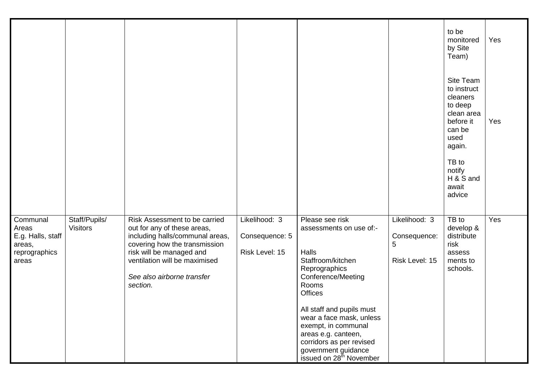|                                                                            |                                  |                                                                                                                                                                                                                                         |                                                   |                                                                                                                                                                                                                                                                                                                                             |                                                      | to be<br>monitored<br>by Site<br>Team)                                                                                                                    | Yes |
|----------------------------------------------------------------------------|----------------------------------|-----------------------------------------------------------------------------------------------------------------------------------------------------------------------------------------------------------------------------------------|---------------------------------------------------|---------------------------------------------------------------------------------------------------------------------------------------------------------------------------------------------------------------------------------------------------------------------------------------------------------------------------------------------|------------------------------------------------------|-----------------------------------------------------------------------------------------------------------------------------------------------------------|-----|
|                                                                            |                                  |                                                                                                                                                                                                                                         |                                                   |                                                                                                                                                                                                                                                                                                                                             |                                                      | Site Team<br>to instruct<br>cleaners<br>to deep<br>clean area<br>before it<br>can be<br>used<br>again.<br>TB to<br>notify<br>H & S and<br>await<br>advice | Yes |
| Communal<br>Areas<br>E.g. Halls, staff<br>areas,<br>reprographics<br>areas | Staff/Pupils/<br><b>Visitors</b> | Risk Assessment to be carried<br>out for any of these areas,<br>including halls/communal areas,<br>covering how the transmission<br>risk will be managed and<br>ventilation will be maximised<br>See also airborne transfer<br>section. | Likelihood: 3<br>Consequence: 5<br>Risk Level: 15 | Please see risk<br>assessments on use of:-<br>Halls<br>Staffroom/kitchen<br>Reprographics<br>Conference/Meeting<br>Rooms<br><b>Offices</b><br>All staff and pupils must<br>wear a face mask, unless<br>exempt, in communal<br>areas e.g. canteen,<br>corridors as per revised<br>government guidance<br>issued on 28 <sup>th</sup> November | Likelihood: 3<br>Consequence:<br>5<br>Risk Level: 15 | TB to<br>develop &<br>distribute<br>risk<br>assess<br>ments to<br>schools.                                                                                | Yes |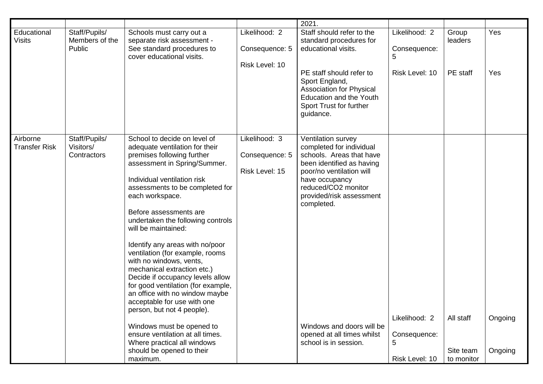|                                  |                                           |                                                                                                                                                                                                                                                                                                                                                                                                                                                                                                                                                                                                                                                                                                                                                           |                                                   | 2021.                                                                                                                                                                                                                                                                                                      |                                                      |                                      |                    |
|----------------------------------|-------------------------------------------|-----------------------------------------------------------------------------------------------------------------------------------------------------------------------------------------------------------------------------------------------------------------------------------------------------------------------------------------------------------------------------------------------------------------------------------------------------------------------------------------------------------------------------------------------------------------------------------------------------------------------------------------------------------------------------------------------------------------------------------------------------------|---------------------------------------------------|------------------------------------------------------------------------------------------------------------------------------------------------------------------------------------------------------------------------------------------------------------------------------------------------------------|------------------------------------------------------|--------------------------------------|--------------------|
| Educational<br><b>Visits</b>     | Staff/Pupils/<br>Members of the<br>Public | Schools must carry out a<br>separate risk assessment -<br>See standard procedures to<br>cover educational visits.                                                                                                                                                                                                                                                                                                                                                                                                                                                                                                                                                                                                                                         | Likelihood: 2<br>Consequence: 5<br>Risk Level: 10 | Staff should refer to the<br>standard procedures for<br>educational visits.<br>PE staff should refer to<br>Sport England,<br><b>Association for Physical</b><br><b>Education and the Youth</b><br>Sport Trust for further<br>guidance.                                                                     | Likelihood: 2<br>Consequence:<br>5<br>Risk Level: 10 | Group<br>leaders<br>PE staff         | Yes<br>Yes         |
| Airborne<br><b>Transfer Risk</b> | Staff/Pupils/<br>Visitors/<br>Contractors | School to decide on level of<br>adequate ventilation for their<br>premises following further<br>assessment in Spring/Summer.<br>Individual ventilation risk<br>assessments to be completed for<br>each workspace.<br>Before assessments are<br>undertaken the following controls<br>will be maintained:<br>Identify any areas with no/poor<br>ventilation (for example, rooms<br>with no windows, vents,<br>mechanical extraction etc.)<br>Decide if occupancy levels allow<br>for good ventilation (for example,<br>an office with no window maybe<br>acceptable for use with one<br>person, but not 4 people).<br>Windows must be opened to<br>ensure ventilation at all times.<br>Where practical all windows<br>should be opened to their<br>maximum. | Likelihood: 3<br>Consequence: 5<br>Risk Level: 15 | Ventilation survey<br>completed for individual<br>schools. Areas that have<br>been identified as having<br>poor/no ventilation will<br>have occupancy<br>reduced/CO2 monitor<br>provided/risk assessment<br>completed.<br>Windows and doors will be<br>opened at all times whilst<br>school is in session. | Likelihood: 2<br>Consequence:<br>5<br>Risk Level: 10 | All staff<br>Site team<br>to monitor | Ongoing<br>Ongoing |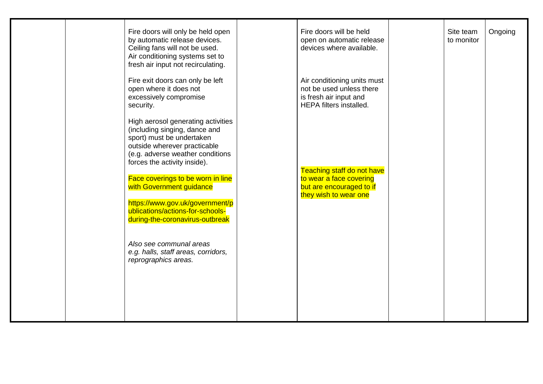|  | Fire doors will only be held open<br>by automatic release devices.<br>Ceiling fans will not be used.<br>Air conditioning systems set to<br>fresh air input not recirculating.                        | Fire doors will be held<br>open on automatic release<br>devices where available.                                    | Site team<br>to monitor | Ongoing |
|--|------------------------------------------------------------------------------------------------------------------------------------------------------------------------------------------------------|---------------------------------------------------------------------------------------------------------------------|-------------------------|---------|
|  | Fire exit doors can only be left<br>open where it does not<br>excessively compromise<br>security.                                                                                                    | Air conditioning units must<br>not be used unless there<br>is fresh air input and<br><b>HEPA</b> filters installed. |                         |         |
|  | High aerosol generating activities<br>(including singing, dance and<br>sport) must be undertaken<br>outside wherever practicable<br>(e.g. adverse weather conditions<br>forces the activity inside). |                                                                                                                     |                         |         |
|  | Face coverings to be worn in line<br>with Government guidance<br>https://www.gov.uk/government/p                                                                                                     | Teaching staff do not have<br>to wear a face covering<br>but are encouraged to if<br>they wish to wear one          |                         |         |
|  | ublications/actions-for-schools-<br>during-the-coronavirus-outbreak                                                                                                                                  |                                                                                                                     |                         |         |
|  | Also see communal areas<br>e.g. halls, staff areas, corridors,<br>reprographics areas.                                                                                                               |                                                                                                                     |                         |         |
|  |                                                                                                                                                                                                      |                                                                                                                     |                         |         |